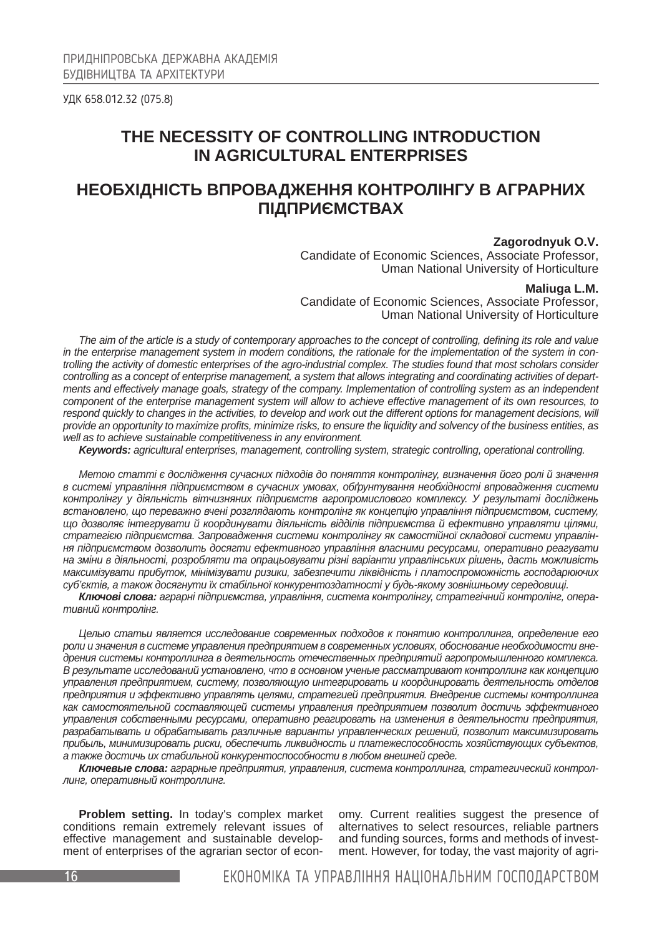УДК 658.012.32 (075.8)

# **THE NECESSITY OF CONTROLLING INTRODUCTION IN AGRICULTURAL ENTERPRISES**

# **НЕОБХІДНІСТЬ ВПРОВАДЖЕННЯ КОНТРОЛІНГУ В АГРАРНИХ ПІДПРИЄМСТВАХ**

## **Zagorodnyuk O.V.**

Candidate of Economic Sciences, Associate Professor, Uman National University of Horticulture

#### **Maliuga L.M.**

Candidate of Economic Sciences, Associate Professor, Uman National University of Horticulture

*The aim of the article is a study of contemporary approaches to the concept of controlling, defining its role and value in the enterprise management system in modern conditions, the rationale for the implementation of the system in controlling the activity of domestic enterprises of the agro-industrial complex. The studies found that most scholars consider controlling as a concept of enterprise management, a system that allows integrating and coordinating activities of departments and effectively manage goals, strategy of the company. Implementation of controlling system as an independent component of the enterprise management system will allow to achieve effective management of its own resources, to respond quickly to changes in the activities, to develop and work out the different options for management decisions, will provide an opportunity to maximize profits, minimize risks, to ensure the liquidity and solvency of the business entities, as well as to achieve sustainable competitiveness in any environment.*

*Keywords: agricultural enterprises, management, controlling system, strategic controlling, operational controlling.*

*Метою статті є дослідження сучасних підходів до поняття контролінгу, визначення його ролі й значення в системі управління підприємством в сучасних умовах, обґрунтування необхідності впровадження системи контролінгу у діяльність вітчизняних підприємств агропромислового комплексу. У результаті досліджень встановлено, що переважно вчені розглядають контролінг як концепцію управління підприємством, систему, що дозволяє інтегрувати й координувати діяльність відділів підприємства й ефективно управляти цілями, стратегією підприємства. Запровадження системи контролінгу як самостійної складової системи управління підприємством дозволить досягти ефективного управління власними ресурсами, оперативно реагувати на зміни в діяльності, розробляти та опрацьовувати різні варіанти управлінських рішень, дасть можливість максимізувати прибуток, мінімізувати ризики, забезпечити ліквідність і платоспроможність господарюючих суб'єктів, а також досягнути їх стабільної конкурентоздатності у будь-якому зовнішньому середовищі.*

*Ключові слова: аграрні підприємства, управління, система контролінгу, стратегічний контролінг, оперативний контролінг.*

*Целью статьи является исследование современных подходов к понятию контроллинга, определение его роли и значения в системе управления предприятием в современных условиях, обоснование необходимости внедрения системы контроллинга в деятельность отечественных предприятий агропромышленного комплекса. В результате исследований установлено, что в основном ученые рассматривают контроллинг как концепцию управления предприятием, систему, позволяющую интегрировать и координировать деятельность отделов предприятия и эффективно управлять целями, стратегией предприятия. Внедрение системы контроллинга как самостоятельной составляющей системы управления предприятием позволит достичь эффективного управления собственными ресурсами, оперативно реагировать на изменения в деятельности предприятия, разрабатывать и обрабатывать различные варианты управленческих решений, позволит максимизировать прибыль, минимизировать риски, обеспечить ликвидность и платежеспособность хозяйствующих субъектов, а также достичь их стабильной конкурентоспособности в любом внешней среде.*

*Ключевые слова: аграрные предприятия, управления, система контроллинга, стратегический контроллинг, оперативный контроллинг.*

**Problem setting.** In today's complex market conditions remain extremely relevant issues of effective management and sustainable development of enterprises of the agrarian sector of economy. Current realities suggest the presence of alternatives to select resources, reliable partners and funding sources, forms and methods of investment. However, for today, the vast majority of agri-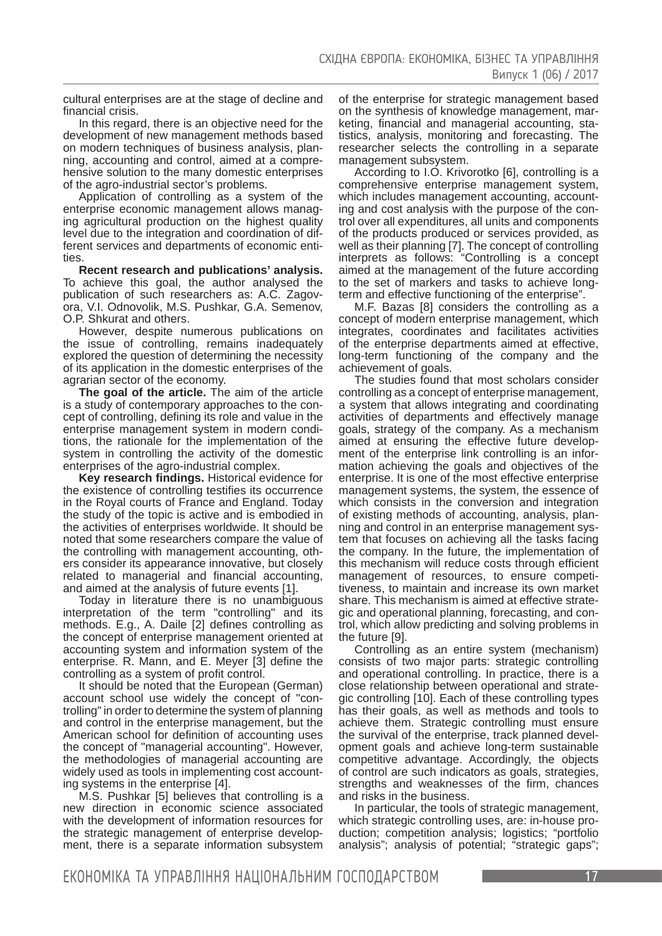cultural enterprises are at the stage of decline and financial crisis.

In this regard, there is an objective need for the development of new management methods based on modern techniques of business analysis, planning, accounting and control, aimed at a comprehensive solution to the many domestic enterprises of the agro-industrial sector's problems.

Application of controlling as a system of the enterprise economic management allows managing agricultural production on the highest quality level due to the integration and coordination of different services and departments of economic entities.

**Recent research and publications' analysis.**  To achieve this goal, the author analysed the publication of such researchers as: A.C. Zagovora, V.I. Odnovolik, M.S. Pushkar, G.A. Semenov, O.P. Shkurat and others.

However, despite numerous publications on the issue of controlling, remains inadequately explored the question of determining the necessity of its application in the domestic enterprises of the agrarian sector of the economy.

**The goal of the article.** The aim of the article is a study of contemporary approaches to the concept of controlling, defining its role and value in the enterprise management system in modern conditions, the rationale for the implementation of the system in controlling the activity of the domestic enterprises of the agro-industrial complex.

**Key research findings.** Historical evidence for the existence of controlling testifies its occurrence in the Royal courts of France and England. Today the study of the topic is active and is embodied in the activities of enterprises worldwide. It should be noted that some researchers compare the value of the controlling with management accounting, others consider its appearance innovative, but closely related to managerial and financial accounting, and aimed at the analysis of future events [1].

Today in literature there is no unambiguous interpretation of the term "controlling" and its methods. E.g., A. Daile [2] defines controlling as the concept of enterprise management oriented at accounting system and information system of the enterprise. R. Mann, and E. Meyer [3] define the controlling as a system of profit control.

It should be noted that the European (German) account school use widely the concept of "controlling" in order to determine the system of planning and control in the enterprise management, but the American school for definition of accounting uses the concept of "managerial accounting". However, the methodologies of managerial accounting are widely used as tools in implementing cost accounting systems in the enterprise [4].

M.S. Pushkar [5] believes that controlling is a new direction in economic science associated with the development of information resources for the strategic management of enterprise development, there is a separate information subsystem

of the enterprise for strategic management based on the synthesis of knowledge management, marketing, financial and managerial accounting, statistics, analysis, monitoring and forecasting. The researcher selects the controlling in a separate management subsystem.

According to I.O. Krivorotko [6], controlling is a comprehensive enterprise management system, which includes management accounting, accounting and cost analysis with the purpose of the control over all expenditures, all units and components of the products produced or services provided, as well as their planning [7]. The concept of controlling interprets as follows: "Controlling is a concept aimed at the management of the future according to the set of markers and tasks to achieve longterm and effective functioning of the enterprise".

M.F. Bazas [8] considers the controlling as a concept of modern enterprise management, which integrates, coordinates and facilitates activities of the enterprise departments aimed at effective, long-term functioning of the company and the achievement of goals.

The studies found that most scholars consider controlling as a concept of enterprise management, a system that allows integrating and coordinating activities of departments and effectively manage goals, strategy of the company. As a mechanism aimed at ensuring the effective future development of the enterprise link controlling is an information achieving the goals and objectives of the enterprise. It is one of the most effective enterprise management systems, the system, the essence of which consists in the conversion and integration of existing methods of accounting, analysis, planning and control in an enterprise management system that focuses on achieving all the tasks facing the company. In the future, the implementation of this mechanism will reduce costs through efficient management of resources, to ensure competitiveness, to maintain and increase its own market share. This mechanism is aimed at effective strategic and operational planning, forecasting, and control, which allow predicting and solving problems in the future [9].

Controlling as an entire system (mechanism) consists of two major parts: strategic controlling and operational controlling. In practice, there is a close relationship between operational and strategic controlling [10]. Each of these controlling types has their goals, as well as methods and tools to achieve them. Strategic controlling must ensure the survival of the enterprise, track planned development goals and achieve long-term sustainable competitive advantage. Accordingly, the objects of control are such indicators as goals, strategies, strengths and weaknesses of the firm, chances and risks in the business.

In particular, the tools of strategic management, which strategic controlling uses, are: in-house production; competition analysis; logistics; "portfolio analysis"; analysis of potential; "strategic gaps";